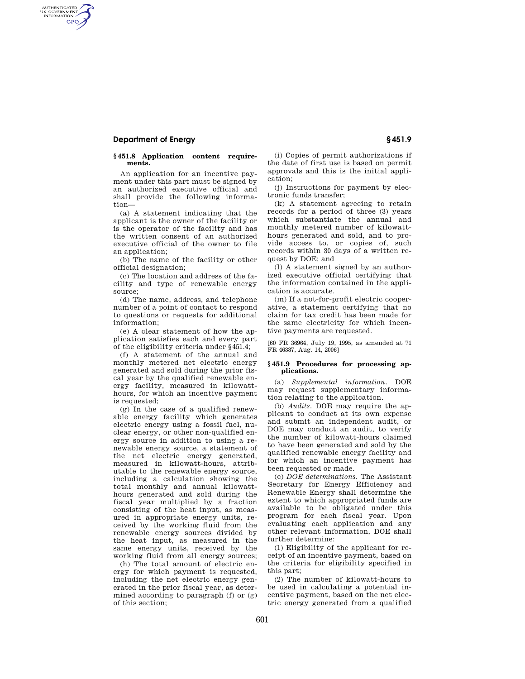## **Department of Energy § 451.9**

AUTHENTICATED<br>U.S. GOVERNMENT<br>INFORMATION **GPO** 

#### **§ 451.8 Application content requirements.**

An application for an incentive payment under this part must be signed by an authorized executive official and shall provide the following information—

(a) A statement indicating that the applicant is the owner of the facility or is the operator of the facility and has the written consent of an authorized executive official of the owner to file an application;

(b) The name of the facility or other official designation;

(c) The location and address of the facility and type of renewable energy source;

(d) The name, address, and telephone number of a point of contact to respond to questions or requests for additional information;

(e) A clear statement of how the application satisfies each and every part of the eligibility criteria under §451.4;

(f) A statement of the annual and monthly metered net electric energy generated and sold during the prior fiscal year by the qualified renewable energy facility, measured in kilowatthours, for which an incentive payment is requested;

(g) In the case of a qualified renewable energy facility which generates electric energy using a fossil fuel, nuclear energy, or other non-qualified energy source in addition to using a renewable energy source, a statement of the net electric energy generated, measured in kilowatt-hours, attributable to the renewable energy source, including a calculation showing the total monthly and annual kilowatthours generated and sold during the fiscal year multiplied by a fraction consisting of the heat input, as measured in appropriate energy units, received by the working fluid from the renewable energy sources divided by the heat input, as measured in the same energy units, received by the working fluid from all energy sources;

(h) The total amount of electric energy for which payment is requested, including the net electric energy generated in the prior fiscal year, as determined according to paragraph (f) or (g) of this section;

(i) Copies of permit authorizations if the date of first use is based on permit approvals and this is the initial application;

(j) Instructions for payment by electronic funds transfer;

(k) A statement agreeing to retain records for a period of three (3) years which substantiate the annual and monthly metered number of kilowatthours generated and sold, and to provide access to, or copies of, such records within 30 days of a written request by DOE; and

(l) A statement signed by an authorized executive official certifying that the information contained in the application is accurate.

(m) If a not-for-profit electric cooperative, a statement certifying that no claim for tax credit has been made for the same electricity for which incentive payments are requested.

[60 FR 36964, July 19, 1995, as amended at 71 FR 46387, Aug. 14, 2006]

#### **§ 451.9 Procedures for processing applications.**

(a) *Supplemental information.* DOE may request supplementary information relating to the application.

(b) *Audits.* DOE may require the applicant to conduct at its own expense and submit an independent audit, or DOE may conduct an audit, to verify the number of kilowatt-hours claimed to have been generated and sold by the qualified renewable energy facility and for which an incentive payment has been requested or made.

(c) *DOE determinations.* The Assistant Secretary for Energy Efficiency and Renewable Energy shall determine the extent to which appropriated funds are available to be obligated under this program for each fiscal year. Upon evaluating each application and any other relevant information, DOE shall further determine:

(1) Eligibility of the applicant for receipt of an incentive payment, based on the criteria for eligibility specified in this part;

(2) The number of kilowatt-hours to be used in calculating a potential incentive payment, based on the net electric energy generated from a qualified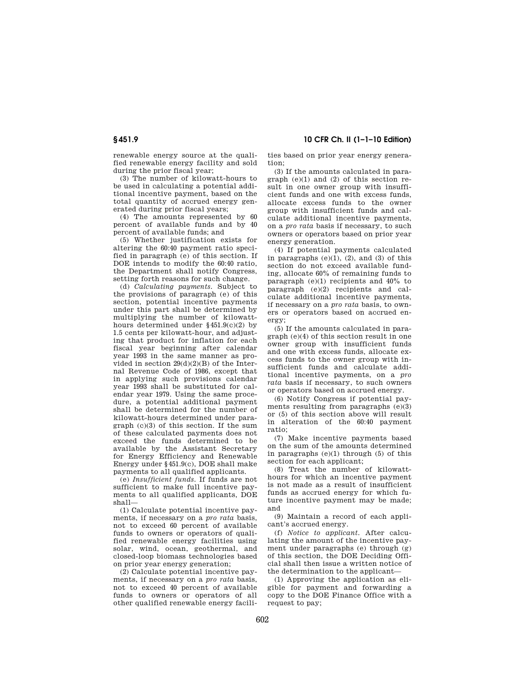renewable energy source at the qualified renewable energy facility and sold during the prior fiscal year;

(3) The number of kilowatt-hours to be used in calculating a potential additional incentive payment, based on the total quantity of accrued energy generated during prior fiscal years;

(4) The amounts represented by 60 percent of available funds and by 40 percent of available funds; and

(5) Whether justification exists for altering the 60:40 payment ratio specified in paragraph (e) of this section. If DOE intends to modify the 60:40 ratio. the Department shall notify Congress, setting forth reasons for such change.

(d) *Calculating payments.* Subject to the provisions of paragraph (e) of this section, potential incentive payments under this part shall be determined by multiplying the number of kilowatthours determined under §451.9(c)(2) by 1.5 cents per kilowatt-hour, and adjusting that product for inflation for each fiscal year beginning after calendar year 1993 in the same manner as provided in section  $29(d)(2)(B)$  of the Internal Revenue Code of 1986, except that in applying such provisions calendar year 1993 shall be substituted for calendar year 1979. Using the same procedure, a potential additional payment shall be determined for the number of kilowatt-hours determined under paragraph (c)(3) of this section. If the sum of these calculated payments does not exceed the funds determined to be available by the Assistant Secretary for Energy Efficiency and Renewable Energy under §451.9(c), DOE shall make payments to all qualified applicants.

(e) *Insufficient funds.* If funds are not sufficient to make full incentive payments to all qualified applicants, DOE shall—

(1) Calculate potential incentive payments, if necessary on a *pro rata* basis, not to exceed 60 percent of available funds to owners or operators of qualified renewable energy facilities using solar, wind, ocean, geothermal, and closed-loop biomass technologies based on prior year energy generation;

(2) Calculate potential incentive payments, if necessary on a *pro rata* basis, not to exceed 40 percent of available funds to owners or operators of all other qualified renewable energy facilities based on prior year energy generation;

(3) If the amounts calculated in para $graph (e)(1)$  and  $(2)$  of this section result in one owner group with insufficient funds and one with excess funds, allocate excess funds to the owner group with insufficient funds and calculate additional incentive payments, on a *pro rata* basis if necessary, to such owners or operators based on prior year energy generation.

(4) If potential payments calculated in paragraphs  $(e)(1)$ ,  $(2)$ , and  $(3)$  of this section do not exceed available funding, allocate 60% of remaining funds to paragraph (e)(1) recipients and 40% to paragraph (e)(2) recipients and calculate additional incentive payments, if necessary on a *pro rata* basis, to owners or operators based on accrued energy;

(5) If the amounts calculated in paragraph (e)(4) of this section result in one owner group with insufficient funds and one with excess funds, allocate excess funds to the owner group with insufficient funds and calculate additional incentive payments, on a *pro rata* basis if necessary, to such owners or operators based on accrued energy.

(6) Notify Congress if potential payments resulting from paragraphs (e)(3) or (5) of this section above will result in alteration of the 60:40 payment ratio;

(7) Make incentive payments based on the sum of the amounts determined in paragraphs (e)(1) through (5) of this section for each applicant;

(8) Treat the number of kilowatthours for which an incentive payment is not made as a result of insufficient funds as accrued energy for which future incentive payment may be made; and

(9) Maintain a record of each applicant's accrued energy.

(f) *Notice to applicant.* After calculating the amount of the incentive payment under paragraphs (e) through (g) of this section, the DOE Deciding Official shall then issue a written notice of the determination to the applicant—

(1) Approving the application as eligible for payment and forwarding a copy to the DOE Finance Office with a request to pay;